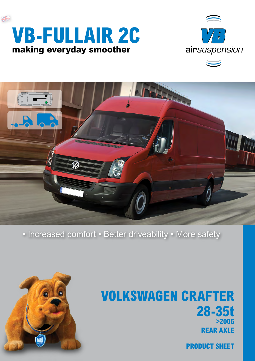





### • Increased comfort • Better driveability • More safety



## **Volkswagen Crafter 28-35t >2006 rear axle**

**product sheet**